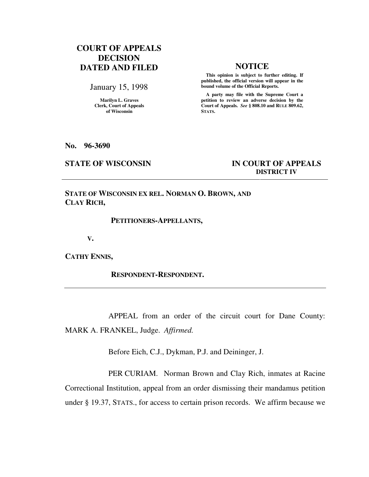# **COURT OF APPEALS DECISION DATED AND FILED NOTICE**

January 15, 1998

**Marilyn L. Graves Clerk, Court of Appeals of Wisconsin** 

 **This opinion is subject to further editing. If published, the official version will appear in the bound volume of the Official Reports.**

 **A party may file with the Supreme Court a petition to review an adverse decision by the Court of Appeals.** *See* **§ 808.10 and RULE 809.62, STATS.** 

**No. 96-3690** 

## **STATE OF WISCONSIN IN COURT OF APPEALS DISTRICT IV**

**STATE OF WISCONSIN EX REL. NORMAN O. BROWN, AND CLAY RICH,** 

### **PETITIONERS-APPELLANTS,**

 **V.** 

**CATHY ENNIS,** 

 **RESPONDENT-RESPONDENT.** 

APPEAL from an order of the circuit court for Dane County: MARK A. FRANKEL, Judge. *Affirmed.*

Before Eich, C.J., Dykman, P.J. and Deininger, J.

PER CURIAM. Norman Brown and Clay Rich, inmates at Racine Correctional Institution, appeal from an order dismissing their mandamus petition under § 19.37, STATS., for access to certain prison records. We affirm because we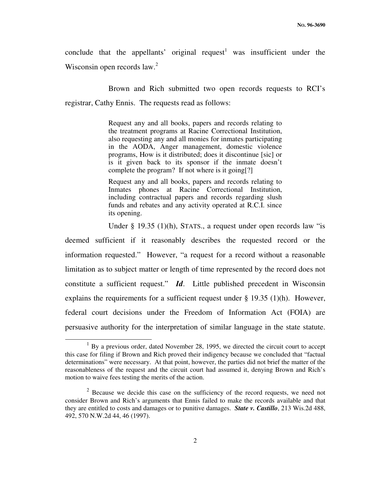conclude that the appellants' original request<sup>1</sup> was insufficient under the Wisconsin open records  $law<sup>2</sup>$ 

Brown and Rich submitted two open records requests to RCI's registrar, Cathy Ennis. The requests read as follows:

> Request any and all books, papers and records relating to the treatment programs at Racine Correctional Institution, also requesting any and all monies for inmates participating in the AODA, Anger management, domestic violence programs, How is it distributed; does it discontinue [sic] or is it given back to its sponsor if the inmate doesn't complete the program? If not where is it going[?]

> Request any and all books, papers and records relating to Inmates phones at Racine Correctional Institution, including contractual papers and records regarding slush funds and rebates and any activity operated at R.C.I. since its opening.

Under § 19.35 (1)(h), STATS., a request under open records law "is

deemed sufficient if it reasonably describes the requested record or the information requested." However, "a request for a record without a reasonable limitation as to subject matter or length of time represented by the record does not constitute a sufficient request." *Id*. Little published precedent in Wisconsin explains the requirements for a sufficient request under § 19.35 (1)(h). However, federal court decisions under the Freedom of Information Act (FOIA) are persuasive authority for the interpretation of similar language in the state statute.

-

 $<sup>1</sup>$  By a previous order, dated November 28, 1995, we directed the circuit court to accept</sup> this case for filing if Brown and Rich proved their indigency because we concluded that "factual determinations" were necessary. At that point, however, the parties did not brief the matter of the reasonableness of the request and the circuit court had assumed it, denying Brown and Rich's motion to waive fees testing the merits of the action.

 $2$  Because we decide this case on the sufficiency of the record requests, we need not consider Brown and Rich's arguments that Ennis failed to make the records available and that they are entitled to costs and damages or to punitive damages. *State v. Castillo*, 213 Wis.2d 488, 492, 570 N.W.2d 44, 46 (1997).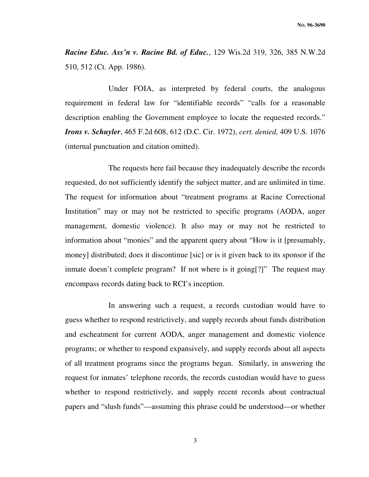*Racine Educ. Ass'n v. Racine Bd. of Educ.*, 129 Wis.2d 319, 326, 385 N.W.2d 510, 512 (Ct. App. 1986).

Under FOIA, as interpreted by federal courts, the analogous requirement in federal law for "identifiable records" "calls for a reasonable description enabling the Government employee to locate the requested records." *Irons v. Schuyler*, 465 F.2d 608, 612 (D.C. Cir. 1972), *cert. denied,* 409 U.S. 1076 (internal punctuation and citation omitted).

The requests here fail because they inadequately describe the records requested, do not sufficiently identify the subject matter, and are unlimited in time. The request for information about "treatment programs at Racine Correctional Institution" may or may not be restricted to specific programs (AODA, anger management, domestic violence). It also may or may not be restricted to information about "monies" and the apparent query about "How is it [presumably, money] distributed; does it discontinue [sic] or is it given back to its sponsor if the inmate doesn't complete program? If not where is it going[?]" The request may encompass records dating back to RCI's inception.

In answering such a request, a records custodian would have to guess whether to respond restrictively, and supply records about funds distribution and escheatment for current AODA, anger management and domestic violence programs; or whether to respond expansively, and supply records about all aspects of all treatment programs since the programs began. Similarly, in answering the request for inmates' telephone records, the records custodian would have to guess whether to respond restrictively, and supply recent records about contractual papers and "slush funds"—assuming this phrase could be understood—or whether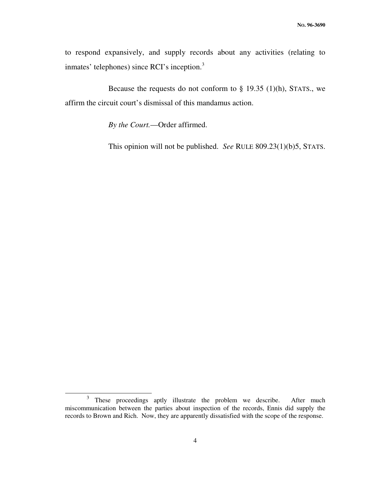to respond expansively, and supply records about any activities (relating to inmates' telephones) since RCI's inception.<sup>3</sup>

Because the requests do not conform to  $\S$  19.35 (1)(h), STATS., we affirm the circuit court's dismissal of this mandamus action.

*By the Court.*—Order affirmed.

This opinion will not be published. *See* RULE 809.23(1)(b)5, STATS.

 $\overline{a}$ 

<sup>3</sup> These proceedings aptly illustrate the problem we describe. After much miscommunication between the parties about inspection of the records, Ennis did supply the records to Brown and Rich. Now, they are apparently dissatisfied with the scope of the response.